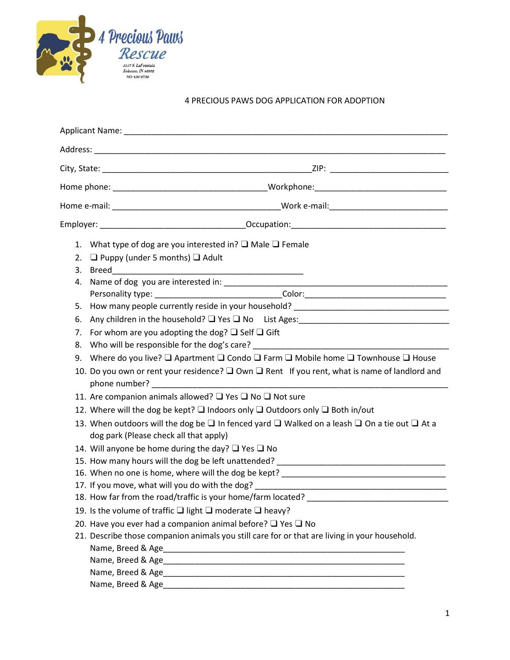

## 4 PRECIOUS PAWS DOG APPLICATION FOR ADOPTION

|    | 1. What type of dog are you interested in? $\square$ Male $\square$ Female                                                                                             |  |
|----|------------------------------------------------------------------------------------------------------------------------------------------------------------------------|--|
| 2. | $\Box$ Puppy (under 5 months) $\Box$ Adult                                                                                                                             |  |
| 3. |                                                                                                                                                                        |  |
| 4. |                                                                                                                                                                        |  |
|    |                                                                                                                                                                        |  |
| 5. | How many people currently reside in your household? _____________________________                                                                                      |  |
| 6. | Any children in the household? Q Yes Q No List Ages: ____________________________                                                                                      |  |
| 7. | For whom are you adopting the dog? $\Box$ Self $\Box$ Gift                                                                                                             |  |
| 8. |                                                                                                                                                                        |  |
| 9. | Where do you live? $\square$ Apartment $\square$ Condo $\square$ Farm $\square$ Mobile home $\square$ Townhouse $\square$ House                                        |  |
|    | 10. Do you own or rent your residence? $\Box$ Own $\Box$ Rent If you rent, what is name of landlord and                                                                |  |
|    | 11. Are companion animals allowed? □ Yes □ No □ Not sure                                                                                                               |  |
|    | 12. Where will the dog be kept? $\square$ Indoors only $\square$ Outdoors only $\square$ Both in/out                                                                   |  |
|    | 13. When outdoors will the dog be $\square$ In fenced yard $\square$ Walked on a leash $\square$ On a tie out $\square$ At a<br>dog park (Please check all that apply) |  |
|    | 14. Will anyone be home during the day? $\Box$ Yes $\Box$ No                                                                                                           |  |
|    |                                                                                                                                                                        |  |
|    | 16. When no one is home, where will the dog be kept?                                                                                                                   |  |
|    |                                                                                                                                                                        |  |
|    | 18. How far from the road/traffic is your home/farm located?                                                                                                           |  |
|    | 19. Is the volume of traffic $\Box$ light $\Box$ moderate $\Box$ heavy?                                                                                                |  |
|    | 20. Have you ever had a companion animal before? $\Box$ Yes $\Box$ No                                                                                                  |  |
|    | 21. Describe those companion animals you still care for or that are living in your household.                                                                          |  |
|    |                                                                                                                                                                        |  |
|    |                                                                                                                                                                        |  |
|    |                                                                                                                                                                        |  |
|    |                                                                                                                                                                        |  |